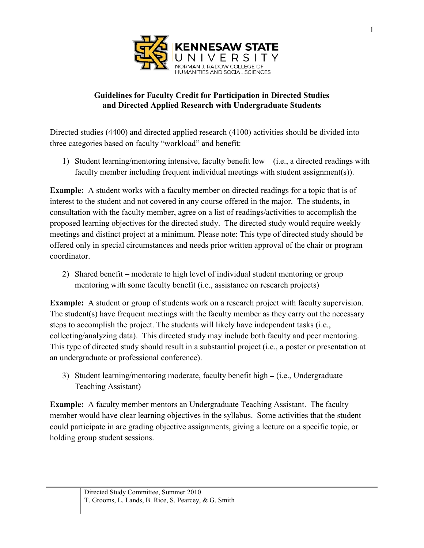

## **Guidelines for Faculty Credit for Participation in Directed Studies and Directed Applied Research with Undergraduate Students**

Directed studies (4400) and directed applied research (4100) activities should be divided into three categories based on faculty "workload" and benefit:

1) Student learning/mentoring intensive, faculty benefit low  $-$  (i.e., a directed readings with faculty member including frequent individual meetings with student assignment(s)).

**Example:** A student works with a faculty member on directed readings for a topic that is of interest to the student and not covered in any course offered in the major. The students, in consultation with the faculty member, agree on a list of readings/activities to accomplish the proposed learning objectives for the directed study. The directed study would require weekly meetings and distinct project at a minimum. Please note: This type of directed study should be offered only in special circumstances and needs prior written approval of the chair or program coordinator.

2) Shared benefit – moderate to high level of individual student mentoring or group mentoring with some faculty benefit (i.e., assistance on research projects)

**Example:** A student or group of students work on a research project with faculty supervision. The student(s) have frequent meetings with the faculty member as they carry out the necessary steps to accomplish the project. The students will likely have independent tasks (i.e., collecting/analyzing data). This directed study may include both faculty and peer mentoring. This type of directed study should result in a substantial project (i.e., a poster or presentation at an undergraduate or professional conference).

3) Student learning/mentoring moderate, faculty benefit high – (i.e., Undergraduate Teaching Assistant)

**Example:** A faculty member mentors an Undergraduate Teaching Assistant. The faculty member would have clear learning objectives in the syllabus. Some activities that the student could participate in are grading objective assignments, giving a lecture on a specific topic, or holding group student sessions.